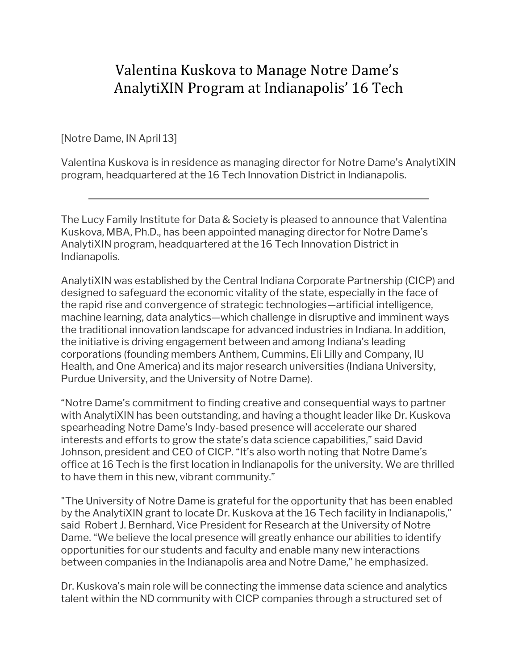# Valentina Kuskova to Manage Notre Dame's AnalytiXIN Program at Indianapolis' 16 Tech

[Notre Dame, IN April 13]

Valentina Kuskova is in residence as managing director for Notre Dame's AnalytiXIN program, headquartered at the 16 Tech Innovation District in Indianapolis.

The Lucy Family Institute for Data & Society is pleased to announce that Valentina Kuskova, MBA, Ph.D., has been appointed managing director for Notre Dame's AnalytiXIN program, headquartered at the 16 Tech Innovation District in Indianapolis.

AnalytiXIN was established by the Central Indiana Corporate Partnership (CICP) and designed to safeguard the economic vitality of the state, especially in the face of the rapid rise and convergence of strategic technologies—artificial intelligence, machine learning, data analytics—which challenge in disruptive and imminent ways the traditional innovation landscape for advanced industries in Indiana. In addition, the initiative is driving engagement between and among Indiana's leading corporations (founding members Anthem, Cummins, Eli Lilly and Company, IU Health, and One America) and its major research universities (Indiana University, Purdue University, and the University of Notre Dame).

"Notre Dame's commitment to finding creative and consequential ways to partner with AnalytiXIN has been outstanding, and having a thought leader like Dr. Kuskova spearheading Notre Dame's Indy-based presence will accelerate our shared interests and efforts to grow the state's data science capabilities," said David Johnson, president and CEO of CICP. "It's also worth noting that Notre Dame's office at 16 Tech is the first location in Indianapolis for the university. We are thrilled to have them in this new, vibrant community."

"The University of Notre Dame is grateful for the opportunity that has been enabled by the AnalytiXIN grant to locate Dr. Kuskova at the 16 Tech facility in Indianapolis," said Robert J. Bernhard, Vice President for Research at the University of Notre Dame. "We believe the local presence will greatly enhance our abilities to identify opportunities for our students and faculty and enable many new interactions between companies in the Indianapolis area and Notre Dame," he emphasized.

Dr. Kuskova's main role will be connecting the immense data science and analytics talent within the ND community with CICP companies through a structured set of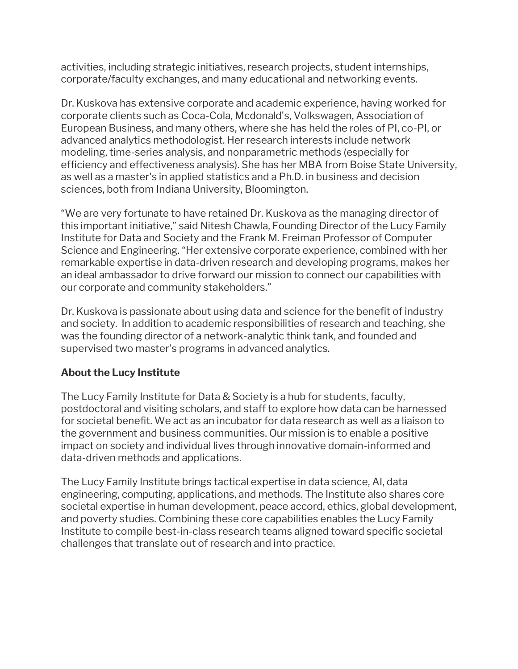activities, including strategic initiatives, research projects, student internships, corporate/faculty exchanges, and many educational and networking events.

Dr. Kuskova has extensive corporate and academic experience, having worked for corporate clients such as Coca-Cola, Mcdonald's, Volkswagen, Association of European Business, and many others, where she has held the roles of PI, co-PI, or advanced analytics methodologist. Her research interests include network modeling, time-series analysis, and nonparametric methods (especially for efficiency and effectiveness analysis). She has her MBA from Boise State University, as well as a master's in applied statistics and a Ph.D. in business and decision sciences, both from Indiana University, Bloomington.

"We are very fortunate to have retained Dr. Kuskova as the managing director of this important initiative," said Nitesh Chawla, Founding Director of the Lucy Family Institute for Data and Society and the Frank M. Freiman Professor of Computer Science and Engineering. "Her extensive corporate experience, combined with her remarkable expertise in data-driven research and developing programs, makes her an ideal ambassador to drive forward our mission to connect our capabilities with our corporate and community stakeholders."

Dr. Kuskova is passionate about using data and science for the benefit of industry and society. In addition to academic responsibilities of research and teaching, she was the founding director of a network-analytic think tank, and founded and supervised two master's programs in advanced analytics.

# **About the Lucy Institute**

The Lucy Family Institute for Data & Society is a hub for students, faculty, postdoctoral and visiting scholars, and staff to explore how data can be harnessed for societal benefit. We act as an incubator for data research as well as a liaison to the government and business communities. Our mission is to enable a positive impact on society and individual lives through innovative domain-informed and data-driven methods and applications.

The Lucy Family Institute brings tactical expertise in data science, AI, data engineering, computing, applications, and methods. The Institute also shares core societal expertise in human development, peace accord, ethics, global development, and poverty studies. Combining these core capabilities enables the Lucy Family Institute to compile best-in-class research teams aligned toward specific societal challenges that translate out of research and into practice.